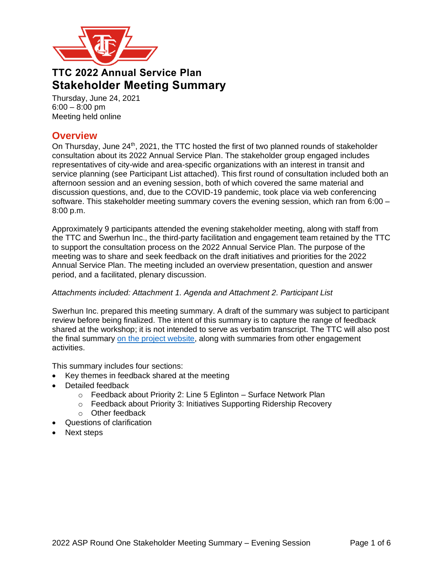

# **TTC 2022 Annual Service Plan Stakeholder Meeting Summary**

Thursday, June 24, 2021 6:00 – 8:00 pm Meeting held online

# **Overview**

On Thursday, June 24<sup>th</sup>, 2021, the TTC hosted the first of two planned rounds of stakeholder consultation about its 2022 Annual Service Plan. The stakeholder group engaged includes representatives of city-wide and area-specific organizations with an interest in transit and service planning (see Participant List attached). This first round of consultation included both an afternoon session and an evening session, both of which covered the same material and discussion questions, and, due to the COVID-19 pandemic, took place via web conferencing software. This stakeholder meeting summary covers the evening session, which ran from 6:00 – 8:00 p.m.

Approximately 9 participants attended the evening stakeholder meeting, along with staff from the TTC and Swerhun Inc., the third-party facilitation and engagement team retained by the TTC to support the consultation process on the 2022 Annual Service Plan. The purpose of the meeting was to share and seek feedback on the draft initiatives and priorities for the 2022 Annual Service Plan. The meeting included an overview presentation, question and answer period, and a facilitated, plenary discussion.

### *Attachments included: Attachment 1. Agenda and Attachment 2. Participant List*

Swerhun Inc. prepared this meeting summary. A draft of the summary was subject to participant review before being finalized. The intent of this summary is to capture the range of feedback shared at the workshop; it is not intended to serve as verbatim transcript. The TTC will also post the final summary [on the project website,](http://www.ttc.ca/About_the_TTC/Projects/5_year_plan_and_10_y/2022_ASP.jsp) along with summaries from other engagement activities.

This summary includes four sections:

- Key themes in feedback shared at the meeting
- Detailed feedback
	- $\circ$  Feedback about Priority 2: Line 5 Eglinton Surface Network Plan
	- o Feedback about Priority 3: Initiatives Supporting Ridership Recovery
	- o Other feedback
- Questions of clarification
- Next steps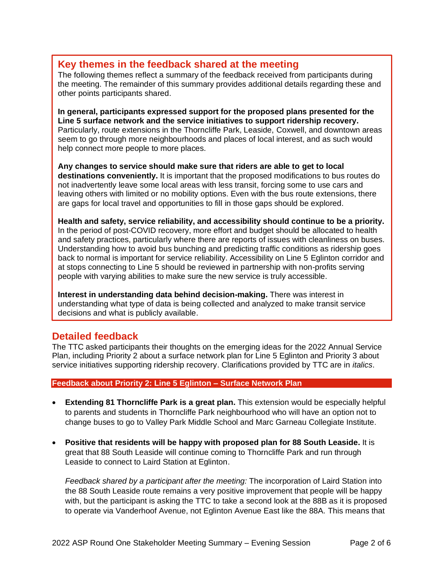# **Key themes in the feedback shared at the meeting**

The following themes reflect a summary of the feedback received from participants during the meeting. The remainder of this summary provides additional details regarding these and other points participants shared.

**In general, participants expressed support for the proposed plans presented for the Line 5 surface network and the service initiatives to support ridership recovery.** Particularly, route extensions in the Thorncliffe Park, Leaside, Coxwell, and downtown areas seem to go through more neighbourhoods and places of local interest, and as such would help connect more people to more places.

**Any changes to service should make sure that riders are able to get to local destinations conveniently.** It is important that the proposed modifications to bus routes do not inadvertently leave some local areas with less transit, forcing some to use cars and leaving others with limited or no mobility options. Even with the bus route extensions, there are gaps for local travel and opportunities to fill in those gaps should be explored.

**Health and safety, service reliability, and accessibility should continue to be a priority.** In the period of post-COVID recovery, more effort and budget should be allocated to health and safety practices, particularly where there are reports of issues with cleanliness on buses. Understanding how to avoid bus bunching and predicting traffic conditions as ridership goes back to normal is important for service reliability. Accessibility on Line 5 Eglinton corridor and at stops connecting to Line 5 should be reviewed in partnership with non-profits serving people with varying abilities to make sure the new service is truly accessible.

**Interest in understanding data behind decision-making.** There was interest in understanding what type of data is being collected and analyzed to make transit service decisions and what is publicly available.

## **Detailed feedback**

The TTC asked participants their thoughts on the emerging ideas for the 2022 Annual Service Plan, including Priority 2 about a surface network plan for Line 5 Eglinton and Priority 3 about service initiatives supporting ridership recovery. Clarifications provided by TTC are in *italics*.

### **Feedback about Priority 2: Line 5 Eglinton – Surface Network Plan**

- **Extending 81 Thorncliffe Park is a great plan.** This extension would be especially helpful to parents and students in Thorncliffe Park neighbourhood who will have an option not to change buses to go to Valley Park Middle School and Marc Garneau Collegiate Institute.
- **Positive that residents will be happy with proposed plan for 88 South Leaside.** It is great that 88 South Leaside will continue coming to Thorncliffe Park and run through Leaside to connect to Laird Station at Eglinton.

*Feedback shared by a participant after the meeting:* The incorporation of Laird Station into the 88 South Leaside route remains a very positive improvement that people will be happy with, but the participant is asking the TTC to take a second look at the 88B as it is proposed to operate via Vanderhoof Avenue, not Eglinton Avenue East like the 88A. This means that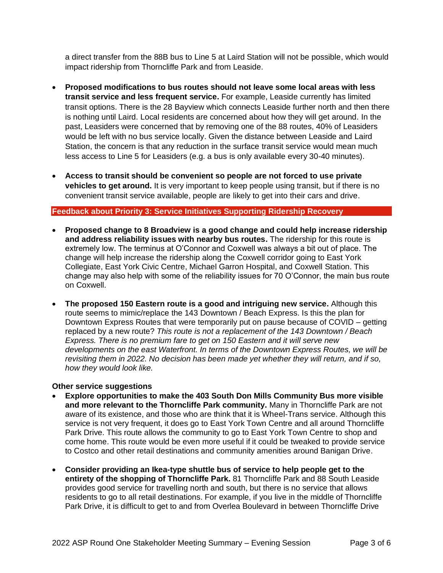a direct transfer from the 88B bus to Line 5 at Laird Station will not be possible, which would impact ridership from Thorncliffe Park and from Leaside.

- **Proposed modifications to bus routes should not leave some local areas with less transit service and less frequent service.** For example, Leaside currently has limited transit options. There is the 28 Bayview which connects Leaside further north and then there is nothing until Laird. Local residents are concerned about how they will get around. In the past, Leasiders were concerned that by removing one of the 88 routes, 40% of Leasiders would be left with no bus service locally. Given the distance between Leaside and Laird Station, the concern is that any reduction in the surface transit service would mean much less access to Line 5 for Leasiders (e.g. a bus is only available every 30-40 minutes).
- **Access to transit should be convenient so people are not forced to use private vehicles to get around.** It is very important to keep people using transit, but if there is no convenient transit service available, people are likely to get into their cars and drive.

### **Feedback about Priority 3: Service Initiatives Supporting Ridership Recovery**

- **Proposed change to 8 Broadview is a good change and could help increase ridership and address reliability issues with nearby bus routes.** The ridership for this route is extremely low. The terminus at O'Connor and Coxwell was always a bit out of place. The change will help increase the ridership along the Coxwell corridor going to East York Collegiate, East York Civic Centre, Michael Garron Hospital, and Coxwell Station. This change may also help with some of the reliability issues for 70 O'Connor, the main bus route on Coxwell.
- **The proposed 150 Eastern route is a good and intriguing new service.** Although this route seems to mimic/replace the 143 Downtown / Beach Express. Is this the plan for Downtown Express Routes that were temporarily put on pause because of COVID – getting replaced by a new route? *This route is not a replacement of the 143 Downtown / Beach Express. There is no premium fare to get on 150 Eastern and it will serve new developments on the east Waterfront. In terms of the Downtown Express Routes, we will be revisiting them in 2022. No decision has been made yet whether they will return, and if so, how they would look like.*

#### **Other service suggestions**

- **Explore opportunities to make the 403 South Don Mills Community Bus more visible and more relevant to the Thorncliffe Park community.** Many in Thorncliffe Park are not aware of its existence, and those who are think that it is Wheel-Trans service. Although this service is not very frequent, it does go to East York Town Centre and all around Thorncliffe Park Drive. This route allows the community to go to East York Town Centre to shop and come home. This route would be even more useful if it could be tweaked to provide service to Costco and other retail destinations and community amenities around Banigan Drive.
- **Consider providing an Ikea-type shuttle bus of service to help people get to the entirety of the shopping of Thorncliffe Park.** 81 Thorncliffe Park and 88 South Leaside provides good service for travelling north and south, but there is no service that allows residents to go to all retail destinations. For example, if you live in the middle of Thorncliffe Park Drive, it is difficult to get to and from Overlea Boulevard in between Thorncliffe Drive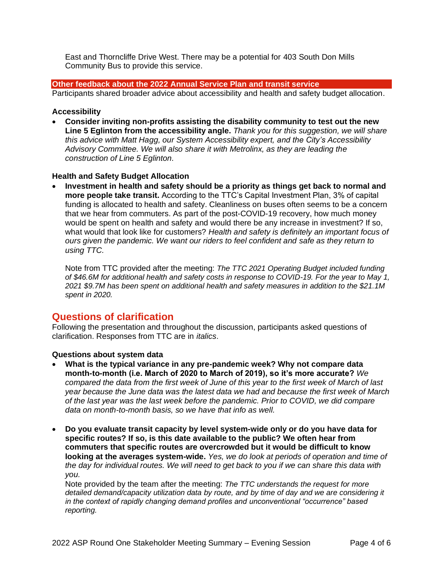East and Thorncliffe Drive West. There may be a potential for 403 South Don Mills Community Bus to provide this service.

### **Other feedback about the 2022 Annual Service Plan and transit service**

Participants shared broader advice about accessibility and health and safety budget allocation.

#### **Accessibility**

• **Consider inviting non-profits assisting the disability community to test out the new Line 5 Eglinton from the accessibility angle.** *Thank you for this suggestion, we will share this advice with Matt Hagg, our System Accessibility expert, and the City's Accessibility Advisory Committee. We will also share it with Metrolinx, as they are leading the construction of Line 5 Eglinton.*

### **Health and Safety Budget Allocation**

• **Investment in health and safety should be a priority as things get back to normal and more people take transit.** According to the TTC's Capital Investment Plan, 3% of capital funding is allocated to health and safety. Cleanliness on buses often seems to be a concern that we hear from commuters. As part of the post-COVID-19 recovery, how much money would be spent on health and safety and would there be any increase in investment? If so, what would that look like for customers? *Health and safety is definitely an important focus of ours given the pandemic. We want our riders to feel confident and safe as they return to using TTC.* 

Note from TTC provided after the meeting: *The TTC 2021 Operating Budget included funding of \$46.6M for additional health and safety costs in response to COVID-19. For the year to May 1, 2021 \$9.7M has been spent on additional health and safety measures in addition to the \$21.1M spent in 2020.*

# **Questions of clarification**

Following the presentation and throughout the discussion, participants asked questions of clarification. Responses from TTC are in *italics*.

#### **Questions about system data**

- **What is the typical variance in any pre-pandemic week? Why not compare data month-to-month (i.e. March of 2020 to March of 2019), so it's more accurate?** *We compared the data from the first week of June of this year to the first week of March of last year because the June data was the latest data we had and because the first week of March of the last year was the last week before the pandemic. Prior to COVID, we did compare data on month-to-month basis, so we have that info as well.*
- **Do you evaluate transit capacity by level system-wide only or do you have data for specific routes? If so, is this date available to the public? We often hear from commuters that specific routes are overcrowded but it would be difficult to know looking at the averages system-wide.** *Yes, we do look at periods of operation and time of the day for individual routes. We will need to get back to you if we can share this data with you.*

Note provided by the team after the meeting: *The TTC understands the request for more detailed demand/capacity utilization data by route, and by time of day and we are considering it in the context of rapidly changing demand profiles and unconventional "occurrence" based reporting.*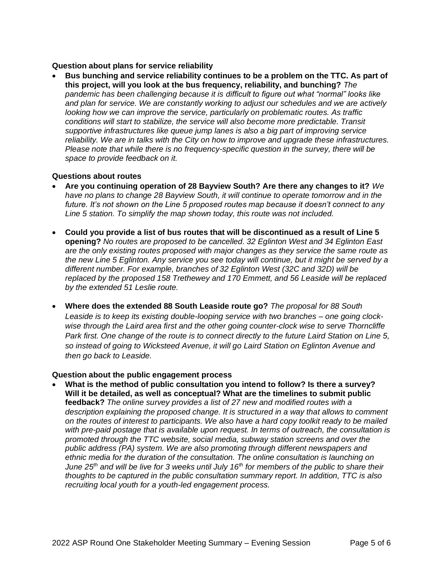#### **Question about plans for service reliability**

• **Bus bunching and service reliability continues to be a problem on the TTC. As part of this project, will you look at the bus frequency, reliability, and bunching?** *The pandemic has been challenging because it is difficult to figure out what "normal" looks like and plan for service. We are constantly working to adjust our schedules and we are actively looking how we can improve the service, particularly on problematic routes. As traffic conditions will start to stabilize, the service will also become more predictable. Transit supportive infrastructures like queue jump lanes is also a big part of improving service reliability. We are in talks with the City on how to improve and upgrade these infrastructures. Please note that while there is no frequency-specific question in the survey, there will be space to provide feedback on it.* 

### **Questions about routes**

- **Are you continuing operation of 28 Bayview South? Are there any changes to it?** *We have no plans to change 28 Bayview South, it will continue to operate tomorrow and in the future. It's not shown on the Line 5 proposed routes map because it doesn't connect to any Line 5 station. To simplify the map shown today, this route was not included.*
- **Could you provide a list of bus routes that will be discontinued as a result of Line 5 opening?** *No routes are proposed to be cancelled. 32 Eglinton West and 34 Eglinton East are the only existing routes proposed with major changes as they service the same route as the new Line 5 Eglinton. Any service you see today will continue, but it might be served by a different number. For example, branches of 32 Eglinton West (32C and 32D) will be replaced by the proposed 158 Trethewey and 170 Emmett, and 56 Leaside will be replaced by the extended 51 Leslie route.*
- **Where does the extended 88 South Leaside route go?** *The proposal for 88 South Leaside is to keep its existing double-looping service with two branches – one going clockwise through the Laird area first and the other going counter-clock wise to serve Thorncliffe Park first. One change of the route is to connect directly to the future Laird Station on Line 5, so instead of going to Wicksteed Avenue, it will go Laird Station on Eglinton Avenue and then go back to Leaside.*

#### **Question about the public engagement process**

• **What is the method of public consultation you intend to follow? Is there a survey? Will it be detailed, as well as conceptual? What are the timelines to submit public feedback?** *The online survey provides a list of 27 new and modified routes with a description explaining the proposed change. It is structured in a way that allows to comment on the routes of interest to participants. We also have a hard copy toolkit ready to be mailed with pre-paid postage that is available upon request. In terms of outreach, the consultation is promoted through the TTC website, social media, subway station screens and over the public address (PA) system. We are also promoting through different newspapers and ethnic media for the duration of the consultation. The online consultation is launching on June 25th and will be live for 3 weeks until July 16th for members of the public to share their thoughts to be captured in the public consultation summary report. In addition, TTC is also recruiting local youth for a youth-led engagement process.*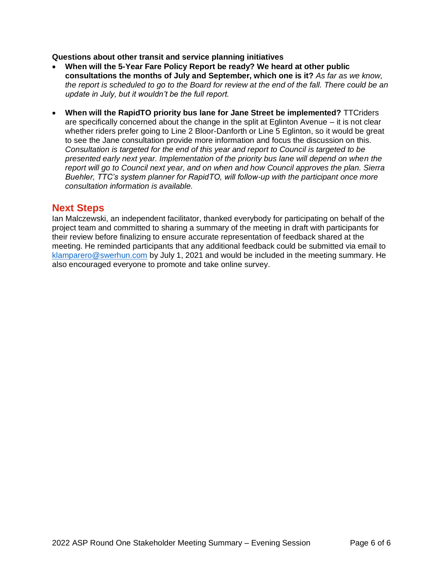#### **Questions about other transit and service planning initiatives**

- **When will the 5-Year Fare Policy Report be ready? We heard at other public consultations the months of July and September, which one is it?** *As far as we know, the report is scheduled to go to the Board for review at the end of the fall. There could be an update in July, but it wouldn't be the full report.*
- **When will the RapidTO priority bus lane for Jane Street be implemented?** TTCriders are specifically concerned about the change in the split at Eglinton Avenue – it is not clear whether riders prefer going to Line 2 Bloor-Danforth or Line 5 Eglinton, so it would be great to see the Jane consultation provide more information and focus the discussion on this. *Consultation is targeted for the end of this year and report to Council is targeted to be presented early next year. Implementation of the priority bus lane will depend on when the report will go to Council next year, and on when and how Council approves the plan. Sierra Buehler, TTC's system planner for RapidTO, will follow-up with the participant once more consultation information is available.*

### **Next Steps**

Ian Malczewski, an independent facilitator, thanked everybody for participating on behalf of the project team and committed to sharing a summary of the meeting in draft with participants for their review before finalizing to ensure accurate representation of feedback shared at the meeting. He reminded participants that any additional feedback could be submitted via email to [klamparero@swerhun.com](mailto:klamparero@swerhun.com) by July 1, 2021 and would be included in the meeting summary. He also encouraged everyone to promote and take online survey.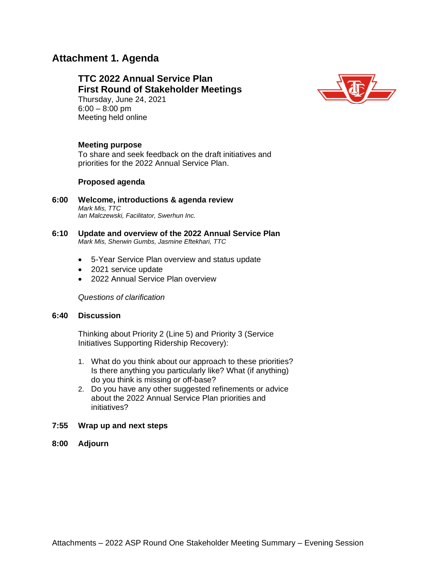# **Attachment 1. Agenda**

**TTC 2022 Annual Service Plan First Round of Stakeholder Meetings**  Thursday, June 24, 2021 6:00 – 8:00 pm Meeting held online



#### **Meeting purpose**

To share and seek feedback on the draft initiatives and priorities for the 2022 Annual Service Plan.

#### **Proposed agenda**

- **6:00 Welcome, introductions & agenda review** *Mark Mis, TTC Ian Malczewski, Facilitator, Swerhun Inc.*
- **6:10 Update and overview of the 2022 Annual Service Plan** *Mark Mis, Sherwin Gumbs, Jasmine Eftekhari, TTC*
	- 5-Year Service Plan overview and status update
	- 2021 service update
	- 2022 Annual Service Plan overview

*Questions of clarification*

#### **6:40 Discussion**

Thinking about Priority 2 (Line 5) and Priority 3 (Service Initiatives Supporting Ridership Recovery):

- 1. What do you think about our approach to these priorities? Is there anything you particularly like? What (if anything) do you think is missing or off-base?
- 2. Do you have any other suggested refinements or advice about the 2022 Annual Service Plan priorities and initiatives?
- **7:55 Wrap up and next steps**
- **8:00 Adjourn**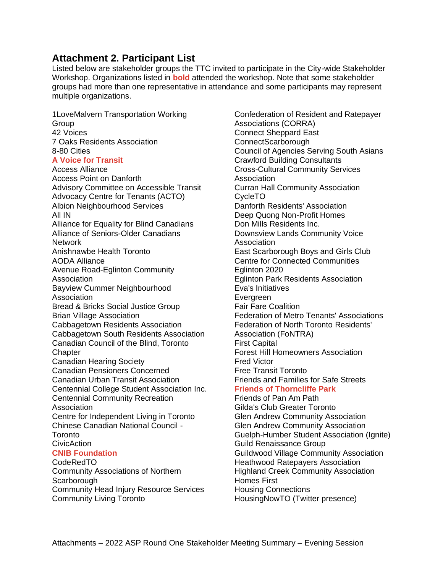# **Attachment 2. Participant List**

Listed below are stakeholder groups the TTC invited to participate in the City-wide Stakeholder Workshop. Organizations listed in **bold** attended the workshop. Note that some stakeholder groups had more than one representative in attendance and some participants may represent multiple organizations.

1LoveMalvern Transportation Working Group 42 Voices 7 Oaks Residents Association 8-80 Cities **A Voice for Transit** Access Alliance Access Point on Danforth Advisory Committee on Accessible Transit Advocacy Centre for Tenants (ACTO) Albion Neighbourhood Services All IN Alliance for Equality for Blind Canadians Alliance of Seniors-Older Canadians Network Anishnawbe Health Toronto AODA Alliance Avenue Road-Eglinton Community Association Bayview Cummer Neighbourhood **Association** Bread & Bricks Social Justice Group Brian Village Association Cabbagetown Residents Association Cabbagetown South Residents Association Canadian Council of the Blind, Toronto **Chapter** Canadian Hearing Society Canadian Pensioners Concerned Canadian Urban Transit Association Centennial College Student Association Inc. Centennial Community Recreation Association Centre for Independent Living in Toronto Chinese Canadian National Council - Toronto CivicAction **CNIB Foundation** CodeRedTO Community Associations of Northern **Scarborough** Community Head Injury Resource Services

Community Living Toronto

Confederation of Resident and Ratepayer Associations (CORRA) Connect Sheppard East ConnectScarborough Council of Agencies Serving South Asians Crawford Building Consultants Cross-Cultural Community Services **Association** Curran Hall Community Association CycleTO Danforth Residents' Association Deep Quong Non-Profit Homes Don Mills Residents Inc. Downsview Lands Community Voice Association East Scarborough Boys and Girls Club Centre for Connected Communities Eglinton 2020 Eglinton Park Residents Association Eva's Initiatives **Evergreen** Fair Fare Coalition Federation of Metro Tenants' Associations Federation of North Toronto Residents' Association (FoNTRA) First Capital Forest Hill Homeowners Association Fred Victor Free Transit Toronto Friends and Families for Safe Streets **Friends of Thorncliffe Park** Friends of Pan Am Path Gilda's Club Greater Toronto Glen Andrew Community Association Glen Andrew Community Association Guelph-Humber Student Association (Ignite) Guild Renaissance Group Guildwood Village Community Association Heathwood Ratepayers Association Highland Creek Community Association Homes First Housing Connections HousingNowTO (Twitter presence)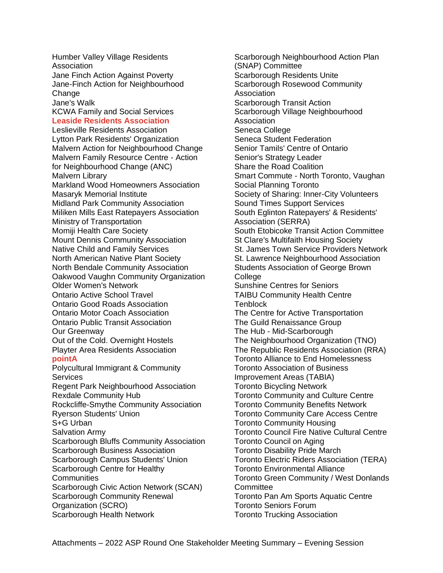Humber Valley Village Residents Association Jane Finch Action Against Poverty Jane-Finch Action for Neighbourhood Change Jane's Walk KCWA Family and Social Services **Leaside Residents Association** Leslieville Residents Association Lytton Park Residents' Organization Malvern Action for Neighbourhood Change Malvern Family Resource Centre - Action for Neighbourhood Change (ANC) Malvern Library Markland Wood Homeowners Association Masaryk Memorial Institute Midland Park Community Association Miliken Mills East Ratepayers Association Ministry of Transportation Momiji Health Care Society Mount Dennis Community Association Native Child and Family Services North American Native Plant Society North Bendale Community Association Oakwood Vaughn Community Organization Older Women's Network Ontario Active School Travel Ontario Good Roads Association Ontario Motor Coach Association Ontario Public Transit Association Our Greenway Out of the Cold. Overnight Hostels Playter Area Residents Association **pointA** Polycultural Immigrant & Community **Services** Regent Park Neighbourhood Association Rexdale Community Hub Rockcliffe-Smythe Community Association Ryerson Students' Union S+G Urban Salvation Army Scarborough Bluffs Community Association Scarborough Business Association Scarborough Campus Students' Union Scarborough Centre for Healthy **Communities** Scarborough Civic Action Network (SCAN) Scarborough Community Renewal Organization (SCRO) Scarborough Health Network

Scarborough Neighbourhood Action Plan (SNAP) Committee Scarborough Residents Unite Scarborough Rosewood Community Association Scarborough Transit Action Scarborough Village Neighbourhood Association Seneca College Seneca Student Federation Senior Tamils' Centre of Ontario Senior's Strategy Leader Share the Road Coalition Smart Commute - North Toronto, Vaughan Social Planning Toronto Society of Sharing: Inner-City Volunteers Sound Times Support Services South Eglinton Ratepayers' & Residents' Association (SERRA) South Etobicoke Transit Action Committee St Clare's Multifaith Housing Society St. James Town Service Providers Network St. Lawrence Neighbourhood Association Students Association of George Brown **College** Sunshine Centres for Seniors TAIBU Community Health Centre **Tenblock** The Centre for Active Transportation The Guild Renaissance Group The Hub - Mid-Scarborough The Neighbourhood Organization (TNO) The Republic Residents Association (RRA) Toronto Alliance to End Homelessness Toronto Association of Business Improvement Areas (TABIA) Toronto Bicycling Network Toronto Community and Culture Centre Toronto Community Benefits Network Toronto Community Care Access Centre Toronto Community Housing Toronto Council Fire Native Cultural Centre Toronto Council on Aging Toronto Disability Pride March Toronto Electric Riders Association (TERA) Toronto Environmental Alliance Toronto Green Community / West Donlands **Committee** Toronto Pan Am Sports Aquatic Centre Toronto Seniors Forum Toronto Trucking Association